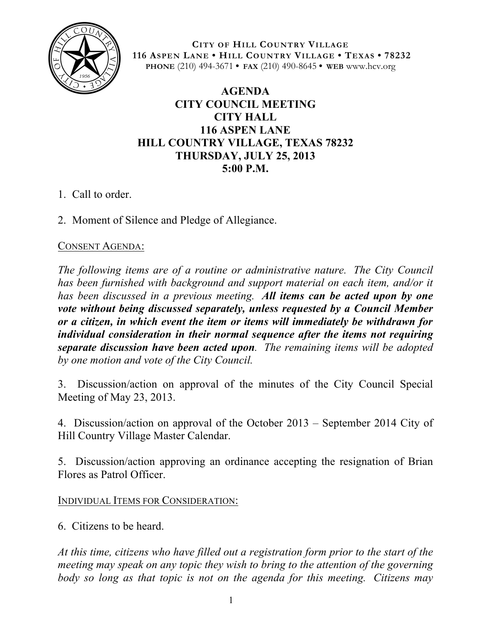

**CITY OF HILL COUNTRY VILLAGE 116 ASPEN LANE • HILL COUNTRY VILLAGE • TEXAS • 78232 PHONE** (210) 494-3671 **• FAX** (210) 490-8645 **• WEB** www.hcv.org

## **AGENDA CITY COUNCIL MEETING CITY HALL 116 ASPEN LANE HILL COUNTRY VILLAGE, TEXAS 78232 THURSDAY, JULY 25, 2013 5:00 P.M.**

- 1. Call to order.
- 2. Moment of Silence and Pledge of Allegiance.

## CONSENT AGENDA:

*The following items are of a routine or administrative nature. The City Council has been furnished with background and support material on each item, and/or it has been discussed in a previous meeting. All items can be acted upon by one vote without being discussed separately, unless requested by a Council Member or a citizen, in which event the item or items will immediately be withdrawn for individual consideration in their normal sequence after the items not requiring separate discussion have been acted upon. The remaining items will be adopted by one motion and vote of the City Council.*

3. Discussion/action on approval of the minutes of the City Council Special Meeting of May 23, 2013.

4. Discussion/action on approval of the October 2013 – September 2014 City of Hill Country Village Master Calendar.

5. Discussion/action approving an ordinance accepting the resignation of Brian Flores as Patrol Officer.

INDIVIDUAL ITEMS FOR CONSIDERATION:

6. Citizens to be heard.

*At this time, citizens who have filled out a registration form prior to the start of the meeting may speak on any topic they wish to bring to the attention of the governing body so long as that topic is not on the agenda for this meeting. Citizens may*